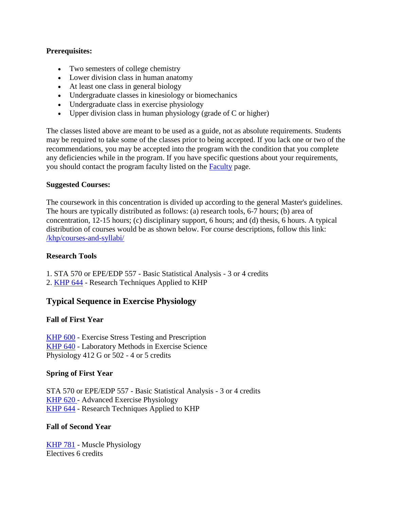### **Prerequisites:**

- Two semesters of college chemistry
- Lower division class in human anatomy
- At least one class in general biology
- Undergraduate classes in kinesiology or biomechanics
- Undergraduate class in exercise physiology
- Upper division class in human physiology (grade of  $C$  or higher)

The classes listed above are meant to be used as a guide, not as absolute requirements. Students may be required to take some of the classes prior to being accepted. If you lack one or two of the recommendations, you may be accepted into the program with the condition that you complete any deficiencies while in the program. If you have specific questions about your requirements, you should contact the program faculty listed on the [Faculty](https://education.uky.edu/khp/grad/exercise-physiology/) page.

### **Suggested Courses:**

The coursework in this concentration is divided up according to the general Master's guidelines. The hours are typically distributed as follows: (a) research tools, 6-7 hours; (b) area of concentration, 12-15 hours; (c) disciplinary support, 6 hours; and (d) thesis, 6 hours. A typical distribution of courses would be as shown below. For course descriptions, follow this link: [/khp/courses-and-syllabi/](https://education.uky.edu/khp/courses-and-syllabi/)

#### **Research Tools**

- 1. STA 570 or EPE/EDP 557 Basic Statistical Analysis 3 or 4 credits
- 2. [KHP 644](https://education.uky.edu/KHP/courses-and-syllabi/?course=KHP644) Research Techniques Applied to KHP

# **Typical Sequence in Exercise Physiology**

# **Fall of First Year**

[KHP 600](https://education.uky.edu/KHP/courses-and-syllabi/?course=KHP600) - Exercise Stress Testing and Prescription [KHP 640](https://education.uky.edu/KHP/courses-and-syllabi/?course=KHP640) - Laboratory Methods in Exercise Science Physiology 412 G or 502 - 4 or 5 credits

# **Spring of First Year**

STA 570 or EPE/EDP 557 - Basic Statistical Analysis - 3 or 4 credits KHP 620 - Advanced Exercise Physiology [KHP 644](https://education.uky.edu/KHP/courses-and-syllabi/?course=KHP644) - Research Techniques Applied to KHP

# **Fall of Second Year**

[KHP 781](https://education.uky.edu/KHP/courses-and-syllabi/?course=KHP781) - Muscle Physiology Electives 6 credits